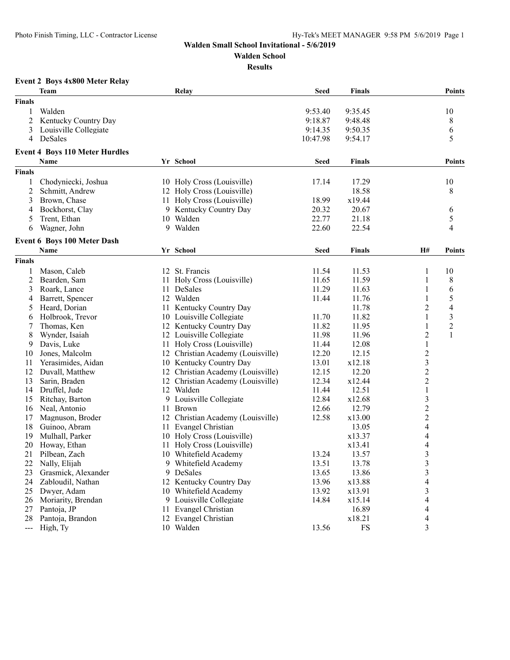**Walden School**

**Results**

## **Event 2 Boys 4x800 Meter Relay**

|                                                                                                                                                                                                                                                                                                                                                                                              | Team                                  |     | Relay                             | <b>Seed</b> | <b>Finals</b> |                          | <b>Points</b>           |
|----------------------------------------------------------------------------------------------------------------------------------------------------------------------------------------------------------------------------------------------------------------------------------------------------------------------------------------------------------------------------------------------|---------------------------------------|-----|-----------------------------------|-------------|---------------|--------------------------|-------------------------|
| <b>Finals</b>                                                                                                                                                                                                                                                                                                                                                                                |                                       |     |                                   |             |               |                          |                         |
| 1                                                                                                                                                                                                                                                                                                                                                                                            | Walden                                |     |                                   | 9:53.40     | 9:35.45       |                          | 10                      |
| $\overline{c}$                                                                                                                                                                                                                                                                                                                                                                               | Kentucky Country Day                  |     |                                   | 9:18.87     | 9:48.48       |                          | 8                       |
| 3                                                                                                                                                                                                                                                                                                                                                                                            | Louisville Collegiate                 |     |                                   | 9:14.35     | 9:50.35       |                          | 6                       |
| 4                                                                                                                                                                                                                                                                                                                                                                                            | DeSales                               |     |                                   | 10:47.98    | 9:54.17       |                          | 5                       |
|                                                                                                                                                                                                                                                                                                                                                                                              | <b>Event 4 Boys 110 Meter Hurdles</b> |     |                                   |             |               |                          |                         |
|                                                                                                                                                                                                                                                                                                                                                                                              | Name                                  |     | Yr School                         | <b>Seed</b> | <b>Finals</b> |                          | <b>Points</b>           |
| <b>Finals</b>                                                                                                                                                                                                                                                                                                                                                                                |                                       |     |                                   |             |               |                          |                         |
| 1                                                                                                                                                                                                                                                                                                                                                                                            | Chodyniecki, Joshua                   |     | 10 Holy Cross (Louisville)        | 17.14       | 17.29         |                          | 10                      |
| $\overline{c}$                                                                                                                                                                                                                                                                                                                                                                               | Schmitt, Andrew                       |     | 12 Holy Cross (Louisville)        |             | 18.58         |                          | 8                       |
| 3                                                                                                                                                                                                                                                                                                                                                                                            | Brown, Chase                          |     | 11 Holy Cross (Louisville)        | 18.99       | x19.44        |                          |                         |
| 4                                                                                                                                                                                                                                                                                                                                                                                            | Bockhorst, Clay                       |     | 9 Kentucky Country Day            | 20.32       | 20.67         |                          | 6                       |
| 5                                                                                                                                                                                                                                                                                                                                                                                            | Trent, Ethan                          |     | 10 Walden                         | 22.77       | 21.18         |                          | 5                       |
| 6                                                                                                                                                                                                                                                                                                                                                                                            | Wagner, John                          |     | 9 Walden                          | 22.60       | 22.54         |                          | 4                       |
|                                                                                                                                                                                                                                                                                                                                                                                              |                                       |     |                                   |             |               |                          |                         |
|                                                                                                                                                                                                                                                                                                                                                                                              | <b>Event 6 Boys 100 Meter Dash</b>    |     |                                   |             |               |                          |                         |
|                                                                                                                                                                                                                                                                                                                                                                                              | <b>Name</b>                           |     | Yr School                         | <b>Seed</b> | <b>Finals</b> | H#                       | <b>Points</b>           |
| <b>Finals</b>                                                                                                                                                                                                                                                                                                                                                                                |                                       |     |                                   |             |               |                          |                         |
| 1                                                                                                                                                                                                                                                                                                                                                                                            | Mason, Caleb                          |     | 12 St. Francis                    | 11.54       | 11.53         | 1                        | 10                      |
| 2                                                                                                                                                                                                                                                                                                                                                                                            | Bearden, Sam                          | 11. | Holy Cross (Louisville)           | 11.65       | 11.59         | 1                        | 8                       |
| 3                                                                                                                                                                                                                                                                                                                                                                                            | Roark, Lance                          | 11  | DeSales                           | 11.29       | 11.63         | 1                        | 6                       |
| 4                                                                                                                                                                                                                                                                                                                                                                                            | Barrett, Spencer                      |     | 12 Walden                         | 11.44       | 11.76         | 1                        | 5                       |
| 5                                                                                                                                                                                                                                                                                                                                                                                            | Heard, Dorian                         |     | 11 Kentucky Country Day           |             | 11.78         | $\overline{2}$           | $\overline{\mathbf{4}}$ |
| 6                                                                                                                                                                                                                                                                                                                                                                                            | Holbrook, Trevor                      |     | 10 Louisville Collegiate          | 11.70       | 11.82         | $\,1\,$                  | $\mathfrak{Z}$          |
| 7                                                                                                                                                                                                                                                                                                                                                                                            | Thomas, Ken                           |     | 12 Kentucky Country Day           | 11.82       | 11.95         | $\mathbf{1}$             | $\sqrt{2}$              |
| 8                                                                                                                                                                                                                                                                                                                                                                                            | Wynder, Isaiah                        | 12  | Louisville Collegiate             | 11.98       | 11.96         | $\overline{2}$           | 1                       |
| 9                                                                                                                                                                                                                                                                                                                                                                                            | Davis, Luke                           | 11  | Holy Cross (Louisville)           | 11.44       | 12.08         | $\mathbf{1}$             |                         |
| 10                                                                                                                                                                                                                                                                                                                                                                                           | Jones, Malcolm                        |     | 12 Christian Academy (Louisville) | 12.20       | 12.15         | $\overline{\mathbf{c}}$  |                         |
| 11                                                                                                                                                                                                                                                                                                                                                                                           | Yerasimides, Aidan                    |     | 10 Kentucky Country Day           | 13.01       | x12.18        | $\overline{\mathbf{3}}$  |                         |
| 12                                                                                                                                                                                                                                                                                                                                                                                           | Duvall, Matthew                       | 12  | Christian Academy (Louisville)    | 12.15       | 12.20         | $\overline{c}$           |                         |
| 13                                                                                                                                                                                                                                                                                                                                                                                           | Sarin, Braden                         | 12  | Christian Academy (Louisville)    | 12.34       | x12.44        | $\overline{c}$           |                         |
| 14                                                                                                                                                                                                                                                                                                                                                                                           | Druffel, Jude                         | 12  | Walden                            | 11.44       | 12.51         | $\,1\,$                  |                         |
| 15                                                                                                                                                                                                                                                                                                                                                                                           | Ritchay, Barton                       | 9   | Louisville Collegiate             | 12.84       | x12.68        | $\mathfrak{Z}$           |                         |
| 16                                                                                                                                                                                                                                                                                                                                                                                           | Neal, Antonio                         | 11  | <b>Brown</b>                      | 12.66       | 12.79         |                          |                         |
| 17                                                                                                                                                                                                                                                                                                                                                                                           | Magnuson, Broder                      |     | 12 Christian Academy (Louisville) | 12.58       | x13.00        | $\frac{2}{2}$            |                         |
| 18                                                                                                                                                                                                                                                                                                                                                                                           | Guinoo, Abram                         | 11  | Evangel Christian                 |             | 13.05         | $\overline{\mathcal{L}}$ |                         |
| 19                                                                                                                                                                                                                                                                                                                                                                                           | Mulhall, Parker                       |     | 10 Holy Cross (Louisville)        |             | x13.37        | $\overline{\mathcal{L}}$ |                         |
| 20                                                                                                                                                                                                                                                                                                                                                                                           | Howay, Ethan                          | 11  | Holy Cross (Louisville)           |             | x13.41        | $\overline{\mathcal{L}}$ |                         |
| 21                                                                                                                                                                                                                                                                                                                                                                                           | Pilbean, Zach                         |     | 10 Whitefield Academy             | 13.24       | 13.57         | 3                        |                         |
| 22                                                                                                                                                                                                                                                                                                                                                                                           | Nally, Elijah                         |     | 9 Whitefield Academy              | 13.51       | 13.78         | 3                        |                         |
| 23                                                                                                                                                                                                                                                                                                                                                                                           | Grasmick, Alexander                   |     | 9 DeSales                         | 13.65       | 13.86         | $\overline{\mathbf{3}}$  |                         |
| 24                                                                                                                                                                                                                                                                                                                                                                                           | Zabloudil, Nathan                     |     | 12 Kentucky Country Day           | 13.96       | x13.88        | $\overline{\mathcal{L}}$ |                         |
| 25                                                                                                                                                                                                                                                                                                                                                                                           | Dwyer, Adam                           |     | 10 Whitefield Academy             | 13.92       | x13.91        | $\mathfrak{Z}$           |                         |
| 26                                                                                                                                                                                                                                                                                                                                                                                           | Moriarity, Brendan                    |     | 9 Louisville Collegiate           | 14.84       | x15.14        | 4                        |                         |
| 27                                                                                                                                                                                                                                                                                                                                                                                           | Pantoja, JP                           | 11  | Evangel Christian                 |             | 16.89         | 4                        |                         |
| 28                                                                                                                                                                                                                                                                                                                                                                                           | Pantoja, Brandon                      |     | 12 Evangel Christian              |             | x18.21        | $\overline{4}$           |                         |
| $\frac{1}{2} \frac{1}{2} \frac{1}{2} \frac{1}{2} \frac{1}{2} \frac{1}{2} \frac{1}{2} \frac{1}{2} \frac{1}{2} \frac{1}{2} \frac{1}{2} \frac{1}{2} \frac{1}{2} \frac{1}{2} \frac{1}{2} \frac{1}{2} \frac{1}{2} \frac{1}{2} \frac{1}{2} \frac{1}{2} \frac{1}{2} \frac{1}{2} \frac{1}{2} \frac{1}{2} \frac{1}{2} \frac{1}{2} \frac{1}{2} \frac{1}{2} \frac{1}{2} \frac{1}{2} \frac{1}{2} \frac{$ | High, Ty                              |     | 10 Walden                         | 13.56       | FS            | 3                        |                         |
|                                                                                                                                                                                                                                                                                                                                                                                              |                                       |     |                                   |             |               |                          |                         |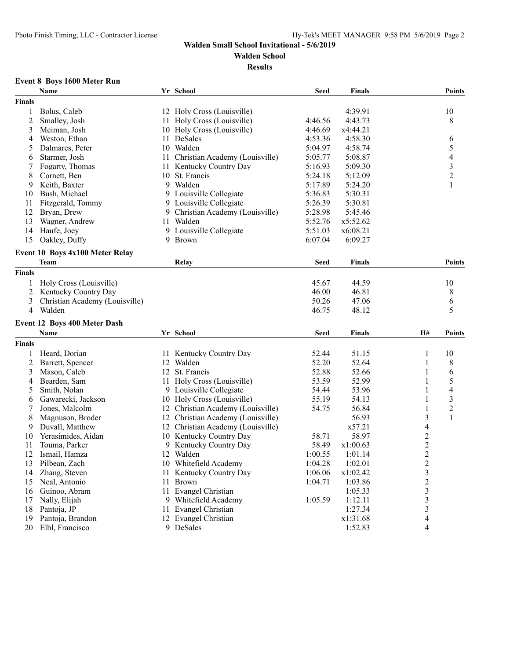**Walden School**

**Results**

## **Event 8 Boys 1600 Meter Run**

|                | Name                                           |    | Yr School                         | <b>Seed</b> | <b>Finals</b> |                          | <b>Points</b>            |
|----------------|------------------------------------------------|----|-----------------------------------|-------------|---------------|--------------------------|--------------------------|
| <b>Finals</b>  |                                                |    |                                   |             |               |                          |                          |
| 1              | Bolus, Caleb                                   |    | 12 Holy Cross (Louisville)        |             | 4:39.91       |                          | 10                       |
| $\overline{c}$ | Smalley, Josh                                  |    | 11 Holy Cross (Louisville)        | 4:46.56     | 4:43.73       |                          | 8                        |
| 3              | Meiman, Josh                                   |    | 10 Holy Cross (Louisville)        | 4:46.69     | x4:44.21      |                          |                          |
| 4              | Weston, Ethan                                  |    | 11 DeSales                        | 4:53.36     | 4:58.30       |                          | 6                        |
| 5              | Dalmares, Peter                                |    | 10 Walden                         | 5:04.97     | 4:58.74       |                          | 5                        |
| 6              | Starmer, Josh                                  | 11 | Christian Academy (Louisville)    | 5:05.77     | 5:08.87       |                          | $\overline{\mathcal{A}}$ |
| 7              | Fogarty, Thomas                                |    | 11 Kentucky Country Day           | 5:16.93     | 5:09.30       |                          | 3                        |
| 8              | Cornett, Ben                                   | 10 | St. Francis                       | 5:24.18     | 5:12.09       |                          | $\boldsymbol{2}$         |
| 9              | Keith, Baxter                                  |    | 9 Walden                          | 5:17.89     | 5:24.20       |                          |                          |
| 10             | Bush, Michael                                  | 9. | Louisville Collegiate             | 5:36.83     | 5:30.31       |                          |                          |
| 11             | Fitzgerald, Tommy                              |    | 9 Louisville Collegiate           | 5:26.39     | 5:30.81       |                          |                          |
| 12             | Bryan, Drew                                    | 9  | Christian Academy (Louisville)    | 5:28.98     | 5:45.46       |                          |                          |
| 13             | Wagner, Andrew                                 | 11 | Walden                            | 5:52.76     | x5:52.62      |                          |                          |
| 14             | Haufe, Joey                                    | 9  | Louisville Collegiate             | 5:51.03     | x6:08.21      |                          |                          |
| 15             | Oakley, Duffy                                  | 9  | Brown                             | 6:07.04     | 6:09.27       |                          |                          |
|                |                                                |    |                                   |             |               |                          |                          |
|                | Event 10 Boys 4x100 Meter Relay<br><b>Team</b> |    | Relay                             | <b>Seed</b> | <b>Finals</b> |                          | <b>Points</b>            |
| <b>Finals</b>  |                                                |    |                                   |             |               |                          |                          |
|                |                                                |    |                                   |             |               |                          |                          |
| 1              | Holy Cross (Louisville)                        |    |                                   | 45.67       | 44.59         |                          | 10                       |
| 2              | Kentucky Country Day                           |    |                                   | 46.00       | 46.81         |                          | 8                        |
| 3              | Christian Academy (Louisville)                 |    |                                   | 50.26       | 47.06         |                          | 6                        |
| 4              | Walden                                         |    |                                   | 46.75       | 48.12         |                          | 5                        |
|                | Event 12 Boys 400 Meter Dash                   |    |                                   |             |               |                          |                          |
|                | Name                                           |    | Yr School                         | <b>Seed</b> | <b>Finals</b> | H#                       | <b>Points</b>            |
| <b>Finals</b>  |                                                |    |                                   |             |               |                          |                          |
| 1              | Heard, Dorian                                  |    | 11 Kentucky Country Day           | 52.44       | 51.15         | 1                        | 10                       |
| 2              | Barrett, Spencer                               |    | 12 Walden                         | 52.20       | 52.64         | 1                        | 8                        |
| 3              | Mason, Caleb                                   |    | 12 St. Francis                    | 52.88       | 52.66         | $\mathbf{1}$             | 6                        |
| 4              | Bearden, Sam                                   |    | 11 Holy Cross (Louisville)        | 53.59       | 52.99         | 1                        | 5                        |
| 5              | Smith, Nolan                                   |    | 9 Louisville Collegiate           | 54.44       | 53.96         | 1                        | 4                        |
| 6              | Gawarecki, Jackson                             |    | 10 Holy Cross (Louisville)        | 55.19       | 54.13         | 1                        | 3                        |
| 7              | Jones, Malcolm                                 |    | 12 Christian Academy (Louisville) | 54.75       | 56.84         | 1                        | $\boldsymbol{2}$         |
| 8              | Magnuson, Broder                               |    | 12 Christian Academy (Louisville) |             | 56.93         | 3                        | $\mathbf{1}$             |
| 9              | Duvall, Matthew                                |    | 12 Christian Academy (Louisville) |             | x57.21        | $\overline{\mathcal{A}}$ |                          |
| 10             | Yerasimides, Aidan                             | 10 | Kentucky Country Day              | 58.71       | 58.97         | $\overline{\mathbf{c}}$  |                          |
| 11             | Touma, Parker                                  | 9  | Kentucky Country Day              | 58.49       | x1:00.63      | $\overline{\mathbf{c}}$  |                          |
| 12             | Ismail, Hamza                                  |    | 12 Walden                         | 1:00.55     | 1:01.14       | $\overline{2}$           |                          |
| 13             | Pilbean, Zach                                  |    | 10 Whitefield Academy             | 1:04.28     | 1:02.01       | 2                        |                          |
| 14             | Zhang, Steven                                  |    | 11 Kentucky Country Day           | 1:06.06     | x1:02.42      | $\overline{\mathbf{3}}$  |                          |
| 15             | Neal, Antonio                                  |    | 11 Brown                          | 1:04.71     | 1:03.86       | $\overline{c}$           |                          |
| 16             | Guinoo, Abram                                  |    | 11 Evangel Christian              |             | 1:05.33       | 3                        |                          |
| 17             | Nally, Elijah                                  |    | 9 Whitefield Academy              | 1:05.59     | 1:12.11       | 3                        |                          |
| 18             | Pantoja, JP                                    |    | 11 Evangel Christian              |             | 1:27.34       | 3                        |                          |
| 19             | Pantoja, Brandon                               |    | 12 Evangel Christian              |             | x1:31.68      | $\overline{4}$           |                          |
| 20             | Elbl, Francisco                                |    | 9 DeSales                         |             | 1:52.83       | 4                        |                          |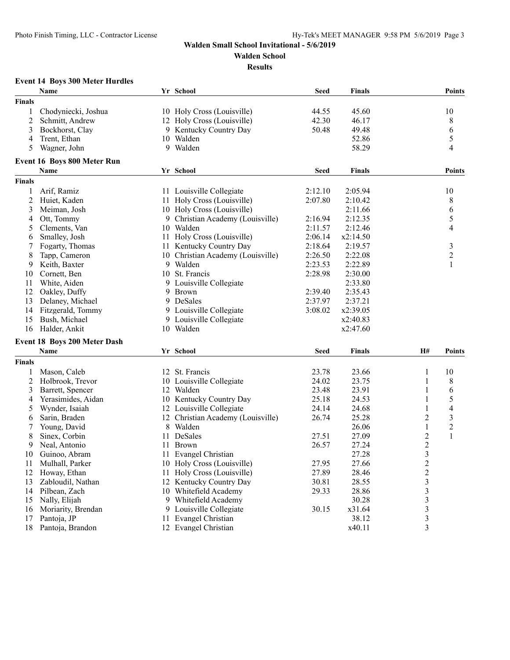**Event 14 Boys 300 Meter Hurdles**

#### **Walden Small School Invitational - 5/6/2019**

**Walden School**

**Results**

|        | Name                | Yr School                  | Seed  | <b>Finals</b> | Points |
|--------|---------------------|----------------------------|-------|---------------|--------|
| Finals |                     |                            |       |               |        |
|        | Chodyniecki, Joshua | 10 Holy Cross (Louisville) | 44.55 | 45.60         | 10     |
|        | 2 Schmitt, Andrew   | 12 Holy Cross (Louisville) | 42.30 | 46.17         |        |
|        | 3 Bockhorst, Clay   | 9 Kentucky Country Day     | 50.48 | 49.48         |        |
|        | 4 Trent, Ethan      | Walden<br>10.              |       | 52.86         |        |
|        |                     |                            |       |               |        |

### $3.48$  Bockhorst, Country Day 50.48 49.48 6 4 Trent, Ethan 52.86 5 5 Wagner, John 9 Walden 58.29 4 **Event 16 Boys 800 Meter Run Name Yr School Seed Finals Points Finals** 1 Arif, Ramiz 11 Louisville Collegiate 2:12.10 2:05.94 10 2 Huiet, Kaden 11 Holy Cross (Louisville) 2:07.80 2:10.42 8<br>3 Meiman, Josh 10 Holy Cross (Louisville) 2:11.66 6 3 Meiman, Josh 10 Holy Cross (Louisville) 2:11.66 6 4 Ott, Tommy 9 Christian Academy (Louisville) 2:16.94 2:12.35 5 5 Clements, Van 10 Walden 2:11.57 2:12.46 4 6 Smalley, Josh 11 Holy Cross (Louisville) 2:06.14 x2:14.50 7 Fogarty, Thomas 11 Kentucky Country Day 2:18.64 2:19.57 3 8 Tapp, Cameron 10 Christian Academy (Louisville) 2:26.50 2:22.08 2 9 Keith, Baxter 9 Walden 2:23.53 2:22.89 1 10 Cornett, Ben 10 St. Francis 2:28.98 2:30.00 11 White, Aiden 9 Louisville Collegiate 2:33.80 12 Oakley, Duffy 9 Brown 2:39.40 2:35.43 13 Delaney, Michael 9 DeSales 2:37.97 2:37.21 14 Fitzgerald, Tommy 9 Louisville Collegiate 3:08.02 x2:39.05 15 Bush, Michael 9 Louisville Collegiate x2:40.83 16 Halder, Ankit 10 Walden x2:47.60 **Event 18 Boys 200 Meter Dash Name Yr School Seed Finals H# Points Finals** 1 Mason, Caleb 12 St. Francis 23.78 23.66 1 10 2 Holbrook, Trevor 10 Louisville Collegiate 24.02 23.75 1 8 3 Barrett, Spencer 12 Walden 23.48 23.91 1 6<br>4 Yerasimides, Aidan 10 Kentucky Country Day 25.18 24.53 1 5 4 Yerasimides, Aidan 10 Kentucky Country Day 25.18 24.53 1 5 Wynder, Isaiah 12 Louisville Collegiate 24.14 24.68 1 4 6 Sarin, Braden 12 Christian Academy (Louisville) 26.74 25.28 2 3<br>2 T Young, David 8 Walden 26.06 1 2 7 Young, David 26.06 1 2 8 Sinex, Corbin 11 DeSales 27.51 27.09 2 1<br>
9 Neal, Antonio 11 Brown 26.57 27.24 2 9 Neal, Antonio 11 Brown 26.57 27.24 2<br>
0 Guinoo, Abram 11 Evangel Christian 27.28 3 10 Guinoo, Abram 11 Evangel Christian 11 Evangel Christian 27.28 3<br>11 Mulhall, Parker 10 Holy Cross (Louisville) 27.95 27.66 2 11 Mulhall, Parker 10 Holy Cross (Louisville) 27.95 27.66 2<br>12 Howay, Ethan 11 Holy Cross (Louisville) 27.89 28.46 2 12 Howay, Ethan 11 Holy Cross (Louisville) 12 27.89 28.46 2<br>13 Zabloudil, Nathan 12 12 12 Kentucky Country Day 20.81 28.55 3 13 Zabloudil, Nathan 12 Kentucky Country Day 30.81 28.55 3 14 Pilbean, Zach 10 Whitefield Academy 29.33 28.86 3<br>15 Nally, Elijah 9 Whitefield Academy 30.28 3 15 Nally, Elijah 15 9 Whitefield Academy 30.28 3<br>16 Moriarity, Brendan 19 Louisville Collegiate 30.15 x31.64 3 16 Moriarity, Brendan 9 Louisville Collegiate 30.15 x31.64 3 17 Pantoja, JP 11 Evangel Christian 38.12 38.12 3 18 Pantoja, Brandon 12 Evangel Christian 12 Evangel Christian 12 Evangel Christian 13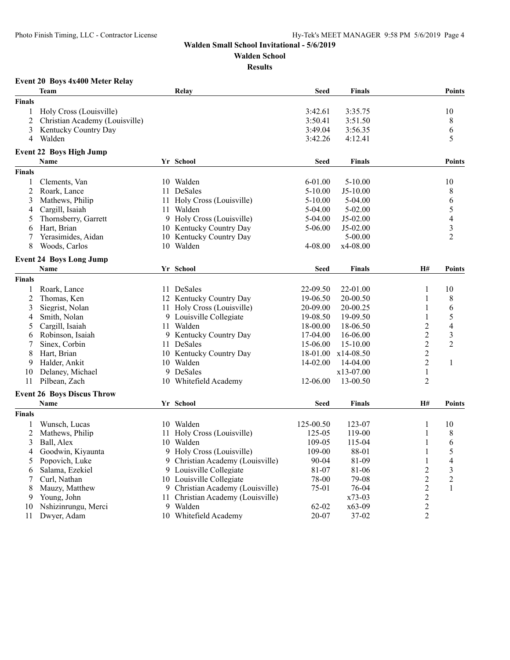**Walden School**

**Results**

## **Event 20 Boys 4x400 Meter Relay**

|                | Team                              |    | Relay                             | <b>Seed</b> | <b>Finals</b> |                | <b>Points</b>            |
|----------------|-----------------------------------|----|-----------------------------------|-------------|---------------|----------------|--------------------------|
| <b>Finals</b>  |                                   |    |                                   |             |               |                |                          |
| 1              | Holy Cross (Louisville)           |    |                                   | 3:42.61     | 3:35.75       |                | 10                       |
| $\overline{2}$ | Christian Academy (Louisville)    |    |                                   | 3:50.41     | 3:51.50       |                | 8                        |
| 3              | Kentucky Country Day              |    |                                   | 3:49.04     | 3:56.35       |                | 6                        |
| 4              | Walden                            |    |                                   | 3:42.26     | 4:12.41       |                | 5                        |
|                | <b>Event 22 Boys High Jump</b>    |    |                                   |             |               |                |                          |
|                | <b>Name</b>                       |    | Yr School                         | <b>Seed</b> | <b>Finals</b> |                | <b>Points</b>            |
|                |                                   |    |                                   |             |               |                |                          |
| <b>Finals</b>  |                                   |    |                                   |             |               |                |                          |
| 1              | Clements, Van                     |    | 10 Walden                         | $6 - 01.00$ | $5 - 10.00$   |                | 10                       |
| $\overline{2}$ | Roark, Lance                      |    | 11 DeSales                        | $5 - 10.00$ | $J5-10.00$    |                | 8                        |
| 3              | Mathews, Philip                   |    | 11 Holy Cross (Louisville)        | $5 - 10.00$ | $5-04.00$     |                | 6                        |
| 4              | Cargill, Isaiah                   | 11 | Walden                            | 5-04.00     | $5 - 02.00$   |                | 5                        |
| 5              | Thornsberry, Garrett              | 9  | Holy Cross (Louisville)           | 5-04.00     | J5-02.00      |                | $\overline{\mathcal{L}}$ |
| 6              | Hart, Brian                       |    | 10 Kentucky Country Day           | 5-06.00     | J5-02.00      |                | $\overline{\mathbf{3}}$  |
| 7              | Yerasimides, Aidan                |    | 10 Kentucky Country Day           |             | $5 - 00.00$   |                | $\overline{2}$           |
| 8              | Woods, Carlos                     |    | 10 Walden                         | 4-08.00     | x4-08.00      |                |                          |
|                | <b>Event 24 Boys Long Jump</b>    |    |                                   |             |               |                |                          |
|                | <b>Name</b>                       |    | Yr School                         | <b>Seed</b> | <b>Finals</b> | H#             | <b>Points</b>            |
| <b>Finals</b>  |                                   |    |                                   |             |               |                |                          |
| 1              | Roark, Lance                      |    | 11 DeSales                        | 22-09.50    | 22-01.00      | 1              | 10                       |
| $\overline{c}$ | Thomas, Ken                       |    | 12 Kentucky Country Day           | 19-06.50    | 20-00.50      | 1              | 8                        |
| 3              | Siegrist, Nolan                   |    | 11 Holy Cross (Louisville)        | 20-09.00    | 20-00.25      | 1              | 6                        |
| 4              | Smith, Nolan                      |    | 9 Louisville Collegiate           | 19-08.50    | 19-09.50      | $\mathbf{1}$   | 5                        |
| 5              | Cargill, Isaiah                   |    | 11 Walden                         | 18-00.00    | 18-06.50      | $\overline{2}$ | $\overline{4}$           |
| 6              | Robinson, Isaiah                  |    | 9 Kentucky Country Day            | 17-04.00    | 16-06.00      | $\overline{c}$ | $\mathfrak{Z}$           |
| 7              | Sinex, Corbin                     |    | 11 DeSales                        | 15-06.00    | 15-10.00      | $\overline{c}$ | $\overline{2}$           |
| 8              | Hart, Brian                       |    | 10 Kentucky Country Day           | 18-01.00    | $x14-08.50$   | $\overline{2}$ |                          |
| 9              | Halder, Ankit                     |    | 10 Walden                         | 14-02.00    | 14-04.00      | $\overline{2}$ | $\mathbf{1}$             |
| 10             | Delaney, Michael                  |    | 9 DeSales                         |             | x13-07.00     | $\mathbf{1}$   |                          |
| 11             | Pilbean, Zach                     |    | 10 Whitefield Academy             | 12-06.00    | 13-00.50      | $\overline{2}$ |                          |
|                |                                   |    |                                   |             |               |                |                          |
|                | <b>Event 26 Boys Discus Throw</b> |    |                                   |             |               |                |                          |
|                | <b>Name</b>                       |    | Yr School                         | <b>Seed</b> | <b>Finals</b> | H#             | <b>Points</b>            |
| <b>Finals</b>  |                                   |    |                                   |             |               |                |                          |
| 1              | Wunsch, Lucas                     |    | 10 Walden                         | 125-00.50   | 123-07        | 1              | 10                       |
| $\overline{c}$ | Mathews, Philip                   |    | 11 Holy Cross (Louisville)        | 125-05      | 119-00        | $\mathbf{1}$   | 8                        |
| 3              | Ball, Alex                        |    | 10 Walden                         | 109-05      | 115-04        | $\mathbf{1}$   | 6                        |
| 4              | Goodwin, Kiyaunta                 |    | 9 Holy Cross (Louisville)         | 109-00      | 88-01         | 1              | 5                        |
| 5              | Popovich, Luke                    | 9  | Christian Academy (Louisville)    | 90-04       | 81-09         | $\mathbf{1}$   | $\overline{\mathcal{L}}$ |
| 6              | Salama, Ezekiel                   |    | 9 Louisville Collegiate           | 81-07       | 81-06         | $\overline{2}$ | $\mathfrak{Z}$           |
| 7              | Curl, Nathan                      |    | 10 Louisville Collegiate          | 78-00       | 79-08         | $\overline{c}$ | $\overline{2}$           |
| 8              | Mauzy, Matthew                    |    | 9 Christian Academy (Louisville)  | 75-01       | 76-04         | $\overline{c}$ | 1                        |
| 9              | Young, John                       |    | 11 Christian Academy (Louisville) |             | $x73-03$      | $\overline{c}$ |                          |
| 10             | Nshizinrungu, Merci               |    | 9 Walden                          | $62-02$     | $x63-09$      | $\overline{c}$ |                          |
| 11             | Dwyer, Adam                       |    | 10 Whitefield Academy             | 20-07       | $37 - 02$     | $\overline{2}$ |                          |